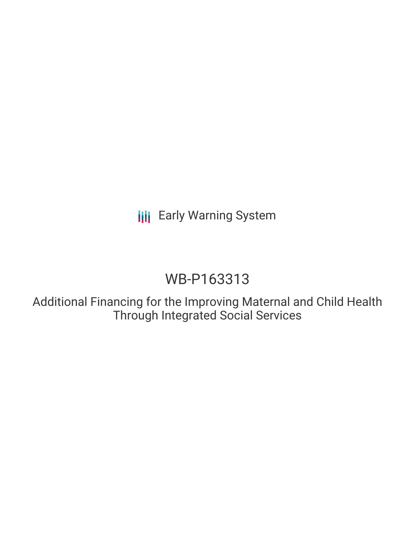**III** Early Warning System

# WB-P163313

Additional Financing for the Improving Maternal and Child Health Through Integrated Social Services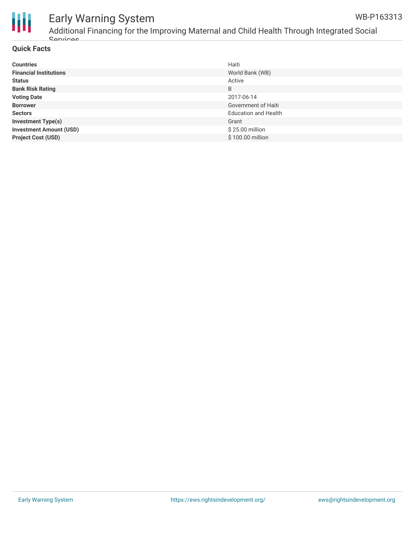

## Early Warning System WB-P163313

### **Quick Facts**

| <b>Countries</b>               | Haiti                       |
|--------------------------------|-----------------------------|
| <b>Financial Institutions</b>  | World Bank (WB)             |
| <b>Status</b>                  | Active                      |
| <b>Bank Risk Rating</b>        | B                           |
| <b>Voting Date</b>             | 2017-06-14                  |
| <b>Borrower</b>                | Government of Haiti         |
| <b>Sectors</b>                 | <b>Education and Health</b> |
| <b>Investment Type(s)</b>      | Grant                       |
| <b>Investment Amount (USD)</b> | \$25.00 million             |
| <b>Project Cost (USD)</b>      | \$100.00 million            |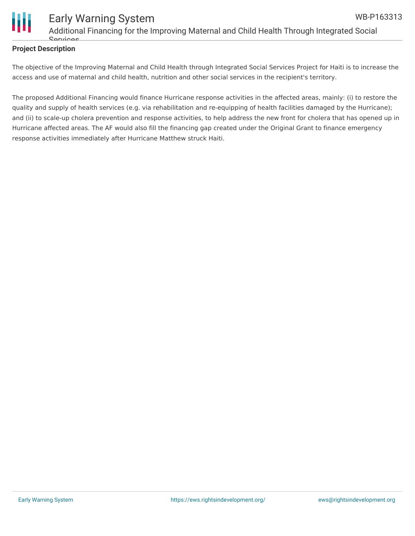

### **Project Description**

The objective of the Improving Maternal and Child Health through Integrated Social Services Project for Haiti is to increase the access and use of maternal and child health, nutrition and other social services in the recipient's territory.

The proposed Additional Financing would finance Hurricane response activities in the affected areas, mainly: (i) to restore the quality and supply of health services (e.g. via rehabilitation and re-equipping of health facilities damaged by the Hurricane); and (ii) to scale-up cholera prevention and response activities, to help address the new front for cholera that has opened up in Hurricane affected areas. The AF would also fill the financing gap created under the Original Grant to finance emergency response activities immediately after Hurricane Matthew struck Haiti.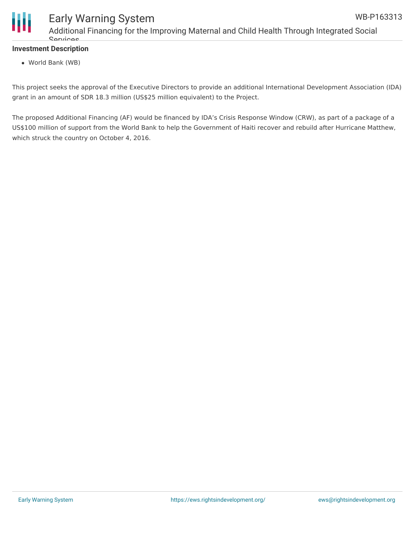

# Early Warning System Additional Financing for the Improving Maternal and Child Health Through Integrated Social Services

#### **Investment Description**

World Bank (WB)

This project seeks the approval of the Executive Directors to provide an additional International Development Association (IDA) grant in an amount of SDR 18.3 million (US\$25 million equivalent) to the Project.

The proposed Additional Financing (AF) would be financed by IDA's Crisis Response Window (CRW), as part of a package of a US\$100 million of support from the World Bank to help the Government of Haiti recover and rebuild after Hurricane Matthew, which struck the country on October 4, 2016.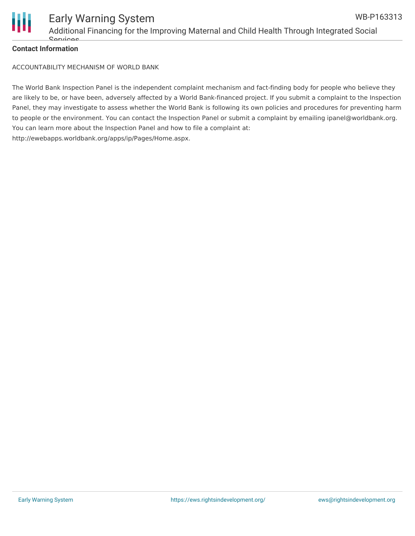

# **Contact Information**

ACCOUNTABILITY MECHANISM OF WORLD BANK

The World Bank Inspection Panel is the independent complaint mechanism and fact-finding body for people who believe they are likely to be, or have been, adversely affected by a World Bank-financed project. If you submit a complaint to the Inspection Panel, they may investigate to assess whether the World Bank is following its own policies and procedures for preventing harm to people or the environment. You can contact the Inspection Panel or submit a complaint by emailing ipanel@worldbank.org. You can learn more about the Inspection Panel and how to file a complaint at: http://ewebapps.worldbank.org/apps/ip/Pages/Home.aspx.